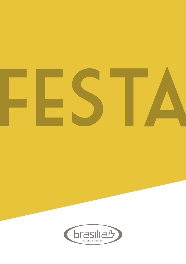

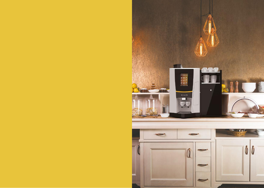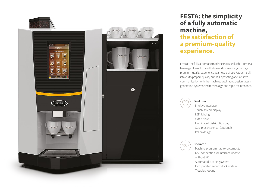

## **FESTA: the simplicity of a fully automatic machine, the satisfaction of a premium-quality experience.**

Festa is the fully automatic machine that speaks the universal language of simplicity with style and innovation, offering a premium-quality experience at all levels of use. A touch is all it takes to prepare quality drinks. Captivating and intuitive communication with the machine, fascinating design, latestgeneration systems and technology, and rapid maintenance.



#### **Final user**

- Intuitive interface
- Touch-screen display
- LED lighting
- Video player
- Illuminated distribution bay
- Cup-present sensor (optional)
- Italian design



#### **Operator**

- Machine programmable via computer
- USB connection for interface update without PC
- Automated cleaning system
- Incorporated security lock system
- Troubleshooting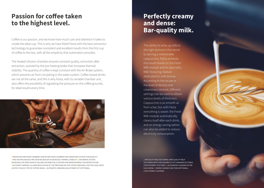# **Passion for coffee taken to the highest level.**

Coffee is our passion, and we know how much care and attention it takes to create the ideal cup. This is why we have fitted Festa with the best extraction technology to guarantee consistent and excellent results from the first cup of coffee to the last, with all the simplicity that automation provides.

The heated infusion chamber ensures constant quality, extraction after extraction, assisted by the pre-heating boiler that increases thermal stability. The quantity of coffee is kept constant with the Air-Brake system, which prevents air from circulating in the water system. Coffee-based drinks are not all the same, and this is why Festa, with its variable chamber unit, also offers the possibility of regulating the pressure on the coffee grounds, for ideal results every time.



‖ PREHEATED INFUSION CHAMBER: HEATED INFUSION CHAMBER FOR CONSISTENT EXTRACTION QUALITY. ‖ PRE-HEATING BOILER: PRE-HEATING BOILER TO INCREASE THERMAL STABILITY. ‖ AIR-BRAKE SYSTEM: INCREASES THE PRECISION OF VOLUME DISTRIBUTED, STOPPING AIR FROM ENTERING THE WATER SYSTEM. ‖ ACCURATE TAMPING: ALLOWS REGULATION OF THE PRESSURE ON THE COFFEE GROUNDS, FOR THE LEVEL MOST SUITED TO EACH TYPE OF COFFEE GRAIN. ‖ AUTOMATIC GRINDING ADJUSTMENT KIT (OPTIONAL).

## **Perfectly creamy and dense: Bar-quality milk.**

The ability to whip up milk to the right texture is the secret to serving a memorable cappuccino. Festa achieves this result thanks to the Fresh Milk module and its Speciality Milk Texturing, feature dedicated to milk texture. According to the recipe or the level of density and creaminess desired, different settings can be used to obtain various levels of thickness. Cappuccino is as smooth as from a bar, but with Festa everything is easier: the Fresh Milk module automatically cleans itself after each drink, and an energy saving option can also be added to reduce electricity consumption.

‖ SPECIALITY MILK TEXTURING: BAR-QUALITY MILK TEXTURING WITH THE POSSIBILITY OF CHANGING SETTINGS FOR DIFFERENT TEXTURES. ‖ AUTOMATED CLEANING AFTER EACH DRINK. ‖ ENERGY SAVING FUNCTION (OPTIONAL). ‖ ELECTRONIC CLEANING.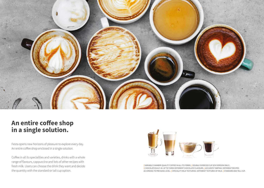

# **An entire coffee shop in a single solution.**

Festa opens new horizons of pleasure to explore every day. An entire coffee shop enclosed in a single solution.

Coffee in all its specialities and varieties, drinks with a whole range of flavours, cappuccino and lots of other recipes with fresh milk. Users can choose the drink they want and decide the quantity with the standard or tall cup option.



‖ VARIABLE CHAMBER: QUALITY COFFEE IN ALL ITS FORMS. ‖ DOUBLE ESPRESSO CUP (ESV VERSION ONLY). ‖ CHOCOLATE BUILT-IN: UP TO THREE DIFFERENT CHOCOLATE FLAVOURS. ‖ ACCURATE TAMPING: DIFFERENT RECIPES ACCORDING TO PRESSING LEVEL. ‖ SPECIALITY MILK TEXTURING: DIFFERENT TEXTURES OF MILK. ‖ STANDARD AND TALL CUP.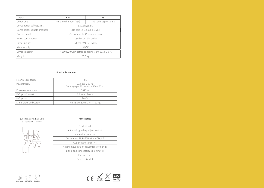| Version                        | <b>ESV</b>                                        | ES                        |
|--------------------------------|---------------------------------------------------|---------------------------|
| Coffee unit                    | Variable chamber (ESV)                            | Traditional espresso (ES) |
| Container for coffee grains    | $1 \times 1.3$ kg (3.5 L)                         |                           |
| Container for soluble products | 3 (single 1.5 L, double 3.5 L.)                   |                           |
| Control panel                  | Customisable 7" touch screen                      |                           |
| Power consumption              | 2.80 kw double boiler                             |                           |
| Power supply                   | 220/240 VAC, 50÷60 HZ                             |                           |
| Water supply                   | 3/4"F                                             |                           |
| Dimensions mm                  | H 650 (720 with coffee container) x W 395 x D 576 |                           |
| Weight                         | 31,5 kg                                           |                           |

#### **Fresh Milk Module**

| Fresh milk capacity   | 4                                                        |
|-----------------------|----------------------------------------------------------|
| Power supply          | 220-230 V 50 Hz<br>Country-specific versions 220 V 60 Hz |
| Power consumption     | 0.043 kw                                                 |
| Refrigeration unit    | Climatic class N                                         |
| Refrigerant           | R600a                                                    |
| Dimensions and weight | H 635 x W 300 x D 447 - 22 kg                            |

**1.** Coffee grains **2.** Soluble **Accessories 3.** Soluble **4.** Soluble



| Black stand                              |  |
|------------------------------------------|--|
| Automatic grinding adjustment kit        |  |
| Immersion pump kit                       |  |
| Cup-warmer kit FRESH MILK MODULE         |  |
| Cup-present sensor kit                   |  |
| Autonomous in-tank power transformer kit |  |
| Liquid and coffee residue draining kit   |  |
| Free vend kit                            |  |
| Coin receiver kit                        |  |